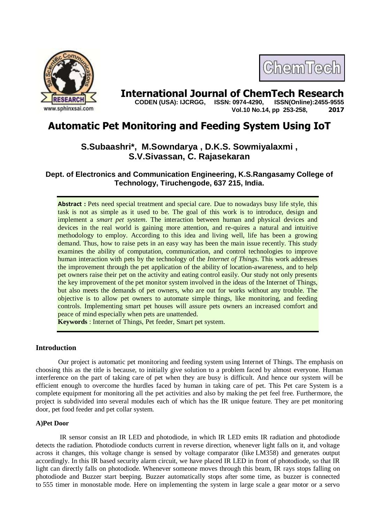

# **International Journal of ChemTech Research CODEN (USA): IJCRGG. ISSN: 0974-4290. ISSN(Online):2455-9555**

 **CODEN (USA): IJCRGG, ISSN: 0974-4290, Vol.10 No.14, pp 253-258, 2017**

ChemTech

## **Automatic Pet Monitoring and Feeding System Using IoT**

### **S.Subaashri\*, M.Sowndarya , D.K.S. Sowmiyalaxmi , S.V.Sivassan, C. Rajasekaran**

**Dept. of Electronics and Communication Engineering, K.S.Rangasamy College of Technology, Tiruchengode, 637 215, India.**

**Abstract :** Pets need special treatment and special care. Due to nowadays busy life style, this task is not as simple as it used to be. The goal of this work is to introduce, design and implement a *smart pet system*. The interaction between human and physical devices and devices in the real world is gaining more attention, and re-quires a natural and intuitive methodology to employ. According to this idea and living well, life has been a growing demand. Thus, how to raise pets in an easy way has been the main issue recently. This study examines the ability of computation, communication, and control technologies to improve human interaction with pets by the technology of the *Internet of Things*. This work addresses the improvement through the pet application of the ability of location-awareness, and to help pet owners raise their pet on the activity and eating control easily. Our study not only presents the key improvement of the pet monitor system involved in the ideas of the Internet of Things, but also meets the demands of pet owners, who are out for works without any trouble. The objective is to allow pet owners to automate simple things, like monitoring, and feeding controls. Implementing smart pet houses will assure pets owners an increased comfort and peace of mind especially when pets are unattended.

**Keywords** : Internet of Things, Pet feeder, Smart pet system.

#### **Introduction**

Our project is automatic pet monitoring and feeding system using Internet of Things. The emphasis on choosing this as the title is because, to initially give solution to a problem faced by almost everyone. Human interference on the part of taking care of pet when they are busy is difficult. And hence our system will be efficient enough to overcome the hurdles faced by human in taking care of pet. This Pet care System is a complete equipment for monitoring all the pet activities and also by making the pet feel free. Furthermore, the project is subdivided into several modules each of which has the IR unique feature. They are pet monitoring door, pet food feeder and pet collar system.

#### **A)Pet Door**

IR sensor consist an IR LED and photodiode, in which IR LED emits IR radiation and photodiode detects the radiation. Photodiode conducts current in reverse direction, whenever light falls on it, and voltage across it changes, this voltage change is sensed by voltage comparator (like LM358) and generates output accordingly. In this IR based security alarm circuit, we have placed IR LED in front of photodiode, so that IR light can directly falls on photodiode. Whenever someone moves through this beam, IR rays stops falling on photodiode and Buzzer start beeping. Buzzer automatically stops after some time, as buzzer is connected to 555 timer in monostable mode. Here on implementing the system in large scale a gear motor or a servo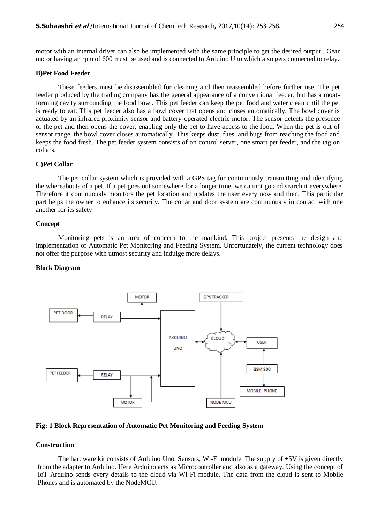motor with an internal driver can also be implemented with the same principle to get the desired output . Gear motor having an rpm of 600 must be used and is connected to Arduino Uno which also gets connected to relay.

#### **B)Pet Food Feeder**

These feeders must be disassembled for cleaning and then reassembled before further use. The pet feeder produced by the trading company has the general appearance of a conventional feeder, but has a moatforming cavity surrounding the food bowl. This pet feeder can keep the pet food and water clean until the pet is ready to eat. This pet feeder also has a bowl cover that opens and closes automatically. The bowl cover is actuated by an infrared proximity sensor and battery-operated electric motor. The sensor detects the presence of the pet and then opens the cover, enabling only the pet to have access to the food. When the pet is out of sensor range, the bowl cover closes automatically. This keeps dust, flies, and bugs from reaching the food and keeps the food fresh. The pet feeder system consists of on control server, one smart pet feeder, and the tag on collars.

#### **C)Pet Collar**

The pet collar system which is provided with a GPS tag for continuously transmitting and identifying the whereabouts of a pet. If a pet goes out somewhere for a longer time, we cannot go and search it everywhere. Therefore it continuously monitors the pet location and updates the user every now and then. This particular part helps the owner to enhance its security. The collar and door system are continuously in contact with one another for its safety

#### **Concept**

Monitoring pets is an area of concern to the mankind. This project presents the design and implementation of Automatic Pet Monitoring and Feeding System. Unfortunately, the current technology does not offer the purpose with utmost security and indulge more delays.

#### **Block Diagram**



#### **Fig: 1 Block Representation of Automatic Pet Monitoring and Feeding System**

#### **Construction**

The hardware kit consists of Arduino Uno, Sensors, Wi-Fi module. The supply of +5V is given directly from the adapter to Arduino. Here Arduino acts as Microcontroller and also as a gateway. Using the concept of IoT Arduino sends every details to the cloud via Wi-Fi module. The data from the cloud is sent to Mobile Phones and is automated by the NodeMCU.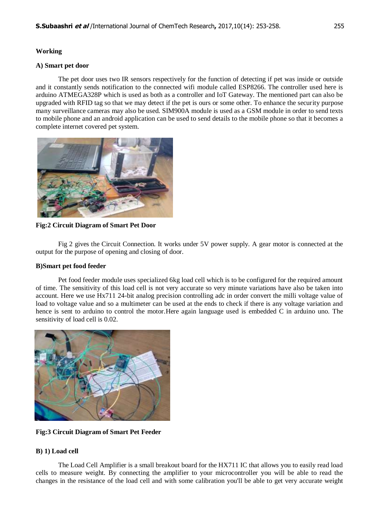#### **Working**

#### **A) Smart pet door**

The pet door uses two IR sensors respectively for the function of detecting if pet was inside or outside and it constantly sends notification to the connected wifi module called ESP8266. The controller used here is arduino ATMEGA328P which is used as both as a controller and IoT Gateway. The mentioned part can also be upgraded with RFID tag so that we may detect if the pet is ours or some other. To enhance the security purpose many surveillance cameras may also be used. SIM900A module is used as a GSM module in order to send texts to mobile phone and an android application can be used to send details to the mobile phone so that it becomes a complete internet covered pet system.



**Fig:2 Circuit Diagram of Smart Pet Door**

Fig 2 gives the Circuit Connection. It works under 5V power supply. A gear motor is connected at the output for the purpose of opening and closing of door.

#### **B)Smart pet food feeder**

Pet food feeder module uses specialized 6kg load cell which is to be configured for the required amount of time. The sensitivity of this load cell is not very accurate so very minute variations have also be taken into account. Here we use Hx711 24-bit analog precision controlling adc in order convert the milli voltage value of load to voltage value and so a multimeter can be used at the ends to check if there is any voltage variation and hence is sent to arduino to control the motor. Here again language used is embedded C in arduino uno. The sensitivity of load cell is 0.02.



**Fig:3 Circuit Diagram of Smart Pet Feeder**

#### **B) 1) Load cell**

The Load Cell Amplifier is a small breakout board for the HX711 IC that allows you to easily read load cells to measure weight. By connecting the amplifier to your microcontroller you will be able to read the changes in the resistance of the load cell and with some calibration you'll be able to get very accurate weight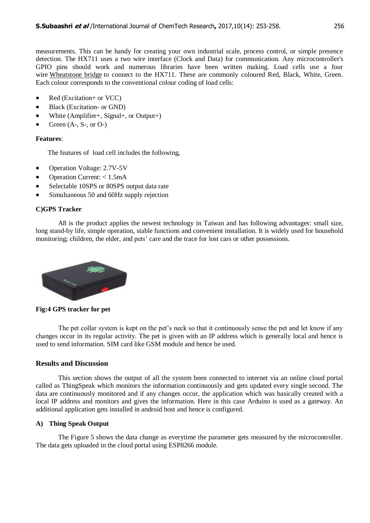measurements. This can be handy for creating your own industrial scale, process control, or simple presence detection. The HX711 uses a two wire interface (Clock and Data) for communication. Any microcontroller's GPIO pins should work and numerous libraries have been written making. Load cells use a four wire [Wheatstone bridge](http://en.wikipedia.org/wiki/Wheatstone_bridge) to connect to the HX711. These are commonly coloured Red, Black, White, Green. Each colour corresponds to the conventional colour coding of load cells:

- Red (Excitation+ or VCC)
- Black (Excitation- or GND)
- White (Amplifier+, Signal+, or Output+)
- Green  $(A-, S-, or O-)$

#### **Features**:

The features of load cell includes the following,

- Operation Voltage: 2.7V-5V
- Operation Current:  $< 1.5 \text{mA}$
- Selectable 10SPS or 80SPS output data rate
- Simultaneous 50 and 60Hz supply rejection

#### **C)GPS Tracker**

 A8 is the product applies the newest technology in Taiwan and has following advantages: small size, long stand-by life, simple operation, stable functions and convenient installation. It is widely used for household monitoring; children, the elder, and pets' care and the trace for lost cars or other possessions.



**Fig:4 GPS tracker for pet**

The pet collar system is kept on the pet's neck so that it continuously sense the pet and let know if any changes occur in its regular activity. The pet is given with an IP address which is generally local and hence is used to send information. SIM card like GSM module and hence be used.

#### **Results and Discussion**

This section shows the output of all the system been connected to internet via an online cloud portal called as ThingSpeak which monitors the information continuously and gets updated every single second. The data are continuously monitored and if any changes occur, the application which was basically created with a local IP address and monitors and gives the information. Here in this case Arduino is used as a gateway. An additional application gets installed in android host and hence is configured.

#### **A) Thing Speak Output**

The Figure 5 shows the data change as everytime the parameter gets measured by the microcontroller. The data gets uploaded in the cloud portal using ESP8266 module.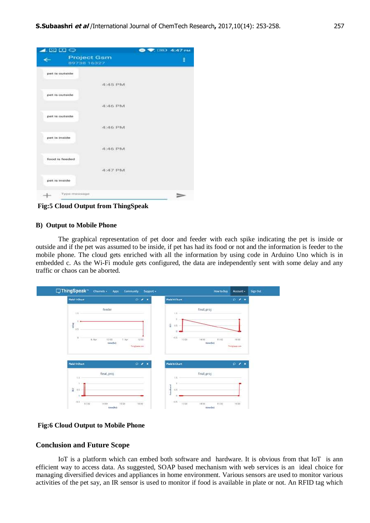| <b>EU DU</b> O  |                                   | <b>E 189 4:47 PM</b><br>ш. |  |
|-----------------|-----------------------------------|----------------------------|--|
|                 | <b>Project Gsm</b><br>89738 16327 |                            |  |
| pert in outside |                                   |                            |  |
|                 | 4:45 PM                           |                            |  |
| pet is outside. |                                   |                            |  |
|                 | 4:46 PM                           |                            |  |
| pet is outside  |                                   |                            |  |
|                 | 4:46 PM                           |                            |  |
| pert in inside  |                                   |                            |  |
|                 | 4:46 PM                           |                            |  |
| food is feeded  |                                   |                            |  |
|                 | 4:47 PM                           |                            |  |
| pet is inside   |                                   |                            |  |
| Тури глишанди   |                                   |                            |  |

**Fig:5 Cloud Output from ThingSpeak**

#### **B) Output to Mobile Phone**

The graphical representation of pet door and feeder with each spike indicating the pet is inside or outside and if the pet was assumed to be inside, if pet has had its food or not and the information is feeder to the mobile phone. The cloud gets enriched with all the information by using code in Arduino Uno which is in embedded c. As the Wi-Fi module gets configured, the data are independently sent with some delay and any traffic or chaos can be aborted.

| Field 1 Chart                   | $0$ $\ell$ x   | Field 4 Chart            | $P$ / x                              |
|---------------------------------|----------------|--------------------------|--------------------------------------|
| feeder                          |                | final_proj               |                                      |
| 3.5                             |                | 1.5                      |                                      |
|                                 |                |                          |                                      |
| $_{\rm rel}$<br>0.5             |                | ŝ<br>$0.5. -$<br>٠       |                                      |
| ×                               |                | $-0.5$                   |                                      |
| 8.40<br>12:00<br>m.<br>time(hr) | 7.306<br>12:00 | 15:00<br>1400            | 11:00<br>16:00<br>time(hr)           |
|                                 | Thinglook can  |                          | <b>SALE</b><br><b>Thinglewations</b> |
|                                 |                |                          |                                      |
| Field 5 Chart                   | $Q \neq 1$     | Field & Chart            | $\circ$<br>$\,$ $\,$                 |
| final_proj                      |                | final_proj               |                                      |
| $15 -$                          |                | 1,5                      |                                      |
|                                 |                |                          |                                      |
| $1 -$                           |                |                          |                                      |
| $\hat{u}$<br>$+5$               |                | <b>Huo-diavel</b><br>0.5 |                                      |

#### **Fig:6 Cloud Output to Mobile Phone**

#### **Conclusion and Future Scope**

IoT is a platform which can embed both software and hardware. It is obvious from that IoT is ann efficient way to access data. As suggested, SOAP based mechanism with web services is an ideal choice for managing diversified devices and appliances in home environment. Various sensors are used to monitor various activities of the pet say, an IR sensor is used to monitor if food is available in plate or not. An RFID tag which